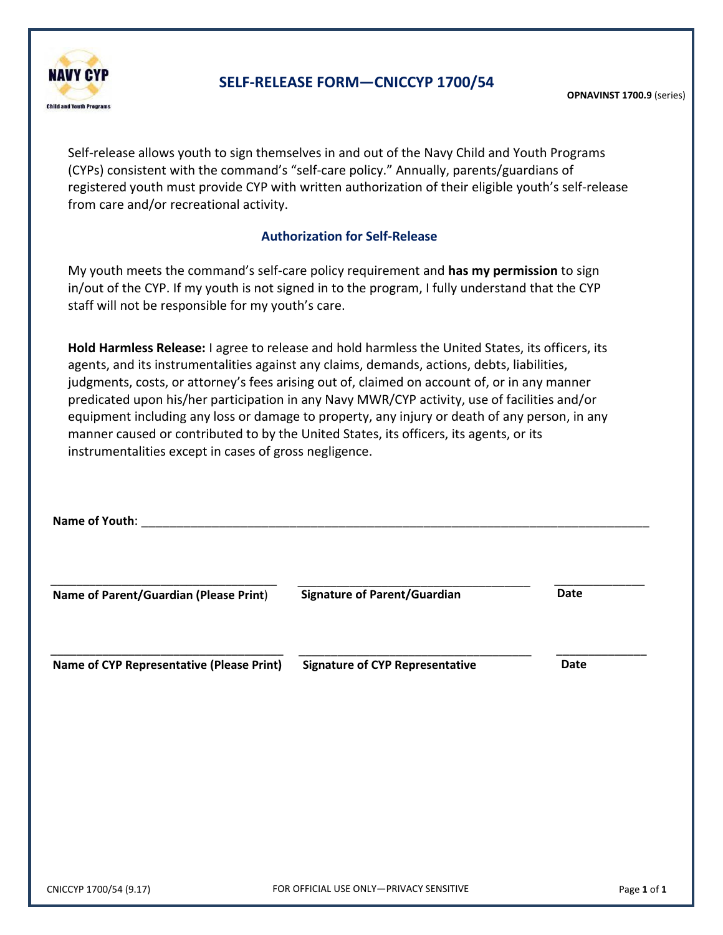

### **SELF-RELEASE FORM—CNICCYP 1700/54**

Self-release allows youth to sign themselves in and out of the Navy Child and Youth Programs (CYPs) consistent with the command's "self-care policy." Annually, parents/guardians of registered youth must provide CYP with written authorization of their eligible youth's self-release from care and/or recreational activity.

#### **Authorization for Self-Release**

My youth meets the command's self-care policy requirement and **has my permission** to sign in/out of the CYP. If my youth is not signed in to the program, I fully understand that the CYP staff will not be responsible for my youth's care.

**Hold Harmless Release:** I agree to release and hold harmless the United States, its officers, its agents, and its instrumentalities against any claims, demands, actions, debts, liabilities, judgments, costs, or attorney's fees arising out of, claimed on account of, or in any manner predicated upon his/her participation in any Navy MWR/CYP activity, use of facilities and/or equipment including any loss or damage to property, any injury or death of any person, in any manner caused or contributed to by the United States, its officers, its agents, or its instrumentalities except in cases of gross negligence.

| Name of Youth:                            |                                        |             |
|-------------------------------------------|----------------------------------------|-------------|
| Name of Parent/Guardian (Please Print)    | <b>Signature of Parent/Guardian</b>    | <b>Date</b> |
| Name of CYP Representative (Please Print) | <b>Signature of CYP Representative</b> | Date        |
|                                           |                                        |             |
|                                           |                                        |             |